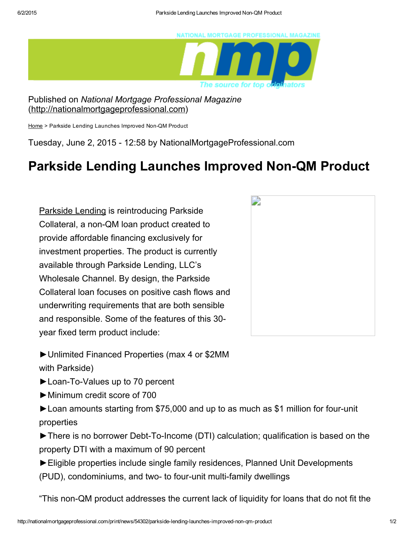

Published on *National Mortgage Professional Magazine* [\(http://nationalmortgageprofessional.com](http://nationalmortgageprofessional.com/))

[Home](http://nationalmortgageprofessional.com/) > Parkside Lending Launches Improved Non-QM Product

Tuesday, June 2, 2015 12:58 by NationalMortgageProfessional.com

## Parkside Lending Launches Improved Non-QM Product

[Parkside](http://www.parksidelending.com/) Lending is reintroducing Parkside Collateral, a non-QM loan product created to provide affordable financing exclusively for investment properties. The product is currently available through Parkside Lending, LLC's Wholesale Channel. By design, the Parkside Collateral loan focuses on positive cash flows and underwriting requirements that are both sensible and responsible. Some of the features of this 30 year fixed term product include:



►Unlimited Financed Properties (max 4 or \$2MM with Parkside)

► Loan-To-Values up to 70 percent

►Minimum credit score of 700

► Loan amounts starting from \$75,000 and up to as much as \$1 million for four-unit properties

► There is no borrower Debt-To-Income (DTI) calculation; qualification is based on the property DTI with a maximum of 90 percent

►Eligible properties include single family residences, Planned Unit Developments (PUD), condominiums, and two- to four-unit multi-family dwellings

"This non-QM product addresses the current lack of liquidity for loans that do not fit the